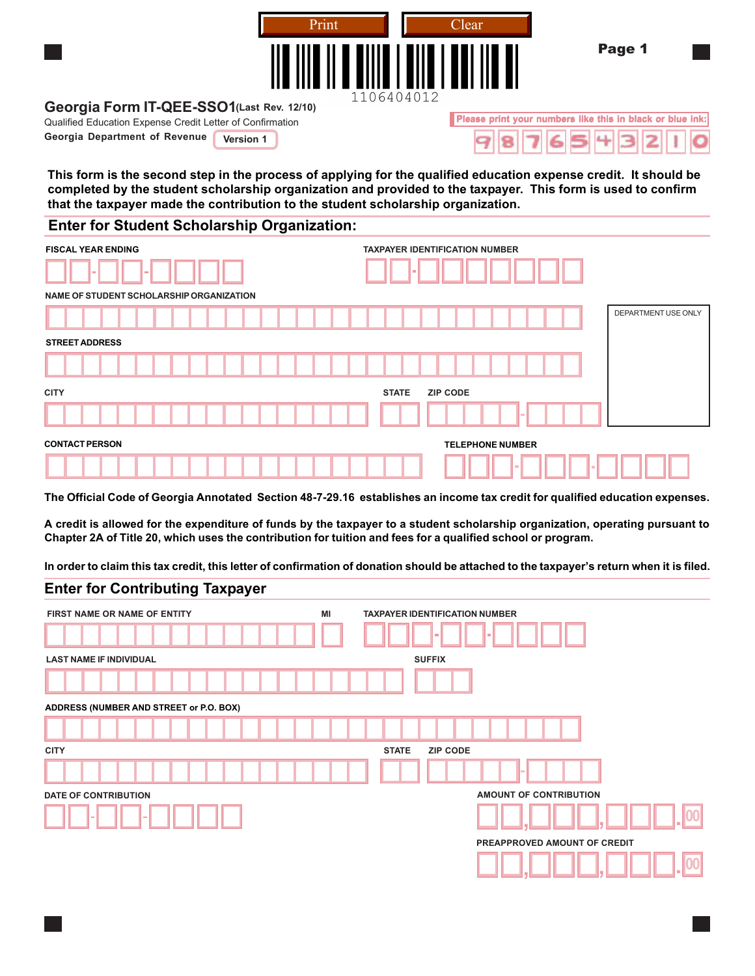

**Please print your numbers like this in black or blue ink:**

### **Georgia Form IT-QEE-SSO1 (Last Rev. 12/10)**

Qualified Education Expense Credit Letter of Confirmation

**Georgia Department of Revenue Version 1** 

This form is the second step in the process of applying for the qualified education expense credit. It should be completed by the student scholarship organization and provided to the taxpayer. This form is used to confirm **that the taxpayer made the contribution to the student scholarship organization.**

#### **Enter for Student Scholarship Organization:**

| <b>FISCAL YEAR ENDING</b><br>$\equiv$<br><b>COLLEGE</b> | <b>TAXPAYER IDENTIFICATION NUMBER</b><br>. . |
|---------------------------------------------------------|----------------------------------------------|
| NAME OF STUDENT SCHOLARSHIP ORGANIZATION                |                                              |
|                                                         | DEPARTMENT USE ONLY                          |
| <b>STREET ADDRESS</b>                                   |                                              |
|                                                         |                                              |
| <b>CITY</b>                                             | <b>ZIP CODE</b><br><b>STATE</b>              |
|                                                         |                                              |
| <b>CONTACT PERSON</b>                                   | <b>TELEPHONE NUMBER</b>                      |
|                                                         | <b>COL</b>                                   |

The Official Code of Georgia Annotated Section 48-7-29.16 establishes an income tax credit for qualified education expenses.

A credit is allowed for the expenditure of funds by the taxpayer to a student scholarship organization, operating pursuant to Chapter 2A of Title 20, which uses the contribution for tuition and fees for a qualified school or program.

In order to claim this tax credit, this letter of confirmation of donation should be attached to the taxpayer's return when it is filed.

### **Enter for Contributing Taxpayer**

| FIRST NAME OR NAME OF ENTITY            | ΜI | <b>TAXPAYER IDENTIFICATION NUMBER</b><br><b>COL</b><br><b>COL</b> |
|-----------------------------------------|----|-------------------------------------------------------------------|
| <b>LAST NAME IF INDIVIDUAL</b>          |    | <b>SUFFIX</b>                                                     |
| ADDRESS (NUMBER AND STREET or P.O. BOX) |    |                                                                   |
| <b>CITY</b>                             |    | <b>ZIP CODE</b><br><b>STATE</b>                                   |
|                                         |    |                                                                   |
| <b>DATE OF CONTRIBUTION</b>             |    | AMOUNT OF CONTRIBUTION                                            |
|                                         |    | 00                                                                |
|                                         |    | PREAPPROVED AMOUNT OF CREDIT                                      |
|                                         |    | 00                                                                |